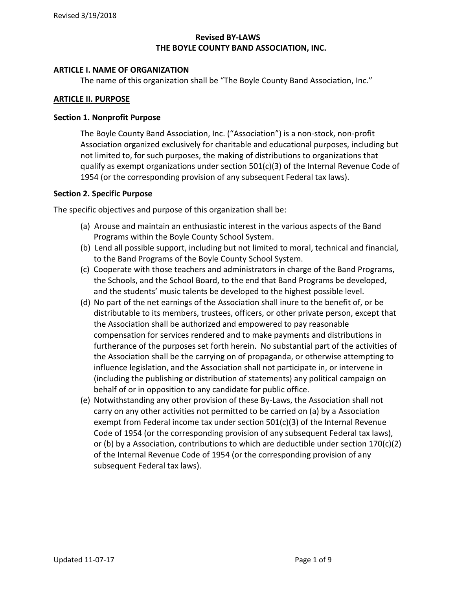## **Revised BY-LAWS THE BOYLE COUNTY BAND ASSOCIATION, INC.**

### **ARTICLE I. NAME OF ORGANIZATION**

The name of this organization shall be "The Boyle County Band Association, Inc."

### **ARTICLE II. PURPOSE**

### **Section 1. Nonprofit Purpose**

The Boyle County Band Association, Inc. ("Association") is a non-stock, non-profit Association organized exclusively for charitable and educational purposes, including but not limited to, for such purposes, the making of distributions to organizations that qualify as exempt organizations under section  $501(c)(3)$  of the Internal Revenue Code of 1954 (or the corresponding provision of any subsequent Federal tax laws).

### **Section 2. Specific Purpose**

The specific objectives and purpose of this organization shall be:

- (a) Arouse and maintain an enthusiastic interest in the various aspects of the Band Programs within the Boyle County School System.
- (b) Lend all possible support, including but not limited to moral, technical and financial, to the Band Programs of the Boyle County School System.
- (c) Cooperate with those teachers and administrators in charge of the Band Programs, the Schools, and the School Board, to the end that Band Programs be developed, and the students' music talents be developed to the highest possible level.
- (d) No part of the net earnings of the Association shall inure to the benefit of, or be distributable to its members, trustees, officers, or other private person, except that the Association shall be authorized and empowered to pay reasonable compensation for services rendered and to make payments and distributions in furtherance of the purposes set forth herein. No substantial part of the activities of the Association shall be the carrying on of propaganda, or otherwise attempting to influence legislation, and the Association shall not participate in, or intervene in (including the publishing or distribution of statements) any political campaign on behalf of or in opposition to any candidate for public office.
- (e) Notwithstanding any other provision of these By-Laws, the Association shall not carry on any other activities not permitted to be carried on (a) by a Association exempt from Federal income tax under section 501(c)(3) of the Internal Revenue Code of 1954 (or the corresponding provision of any subsequent Federal tax laws), or (b) by a Association, contributions to which are deductible under section  $170(c)(2)$ of the Internal Revenue Code of 1954 (or the corresponding provision of any subsequent Federal tax laws).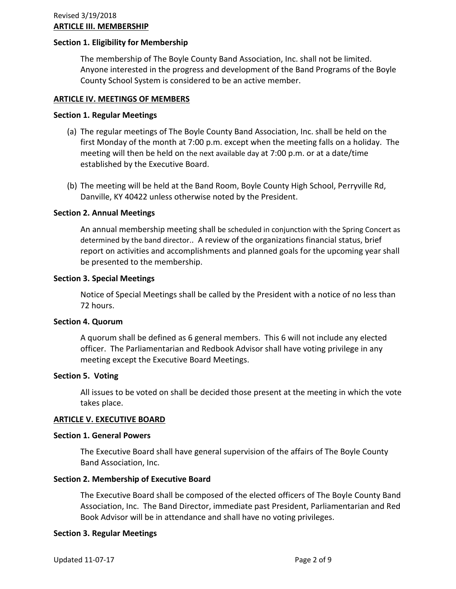### **Section 1. Eligibility for Membership**

The membership of The Boyle County Band Association, Inc. shall not be limited. Anyone interested in the progress and development of the Band Programs of the Boyle County School System is considered to be an active member.

### **ARTICLE IV. MEETINGS OF MEMBERS**

#### **Section 1. Regular Meetings**

- (a) The regular meetings of The Boyle County Band Association, Inc. shall be held on the first Monday of the month at 7:00 p.m. except when the meeting falls on a holiday. The meeting will then be held on the next available day at 7:00 p.m. or at a date/time established by the Executive Board.
- (b) The meeting will be held at the Band Room, Boyle County High School, Perryville Rd, Danville, KY 40422 unless otherwise noted by the President.

### **Section 2. Annual Meetings**

An annual membership meeting shall be scheduled in conjunction with the Spring Concert as determined by the band director.. A review of the organizations financial status, brief report on activities and accomplishments and planned goals for the upcoming year shall be presented to the membership.

#### **Section 3. Special Meetings**

Notice of Special Meetings shall be called by the President with a notice of no less than 72 hours.

### **Section 4. Quorum**

A quorum shall be defined as 6 general members. This 6 will not include any elected officer. The Parliamentarian and Redbook Advisor shall have voting privilege in any meeting except the Executive Board Meetings.

### **Section 5. Voting**

All issues to be voted on shall be decided those present at the meeting in which the vote takes place.

### **ARTICLE V. EXECUTIVE BOARD**

### **Section 1. General Powers**

The Executive Board shall have general supervision of the affairs of The Boyle County Band Association, Inc.

### **Section 2. Membership of Executive Board**

The Executive Board shall be composed of the elected officers of The Boyle County Band Association, Inc. The Band Director, immediate past President, Parliamentarian and Red Book Advisor will be in attendance and shall have no voting privileges.

### **Section 3. Regular Meetings**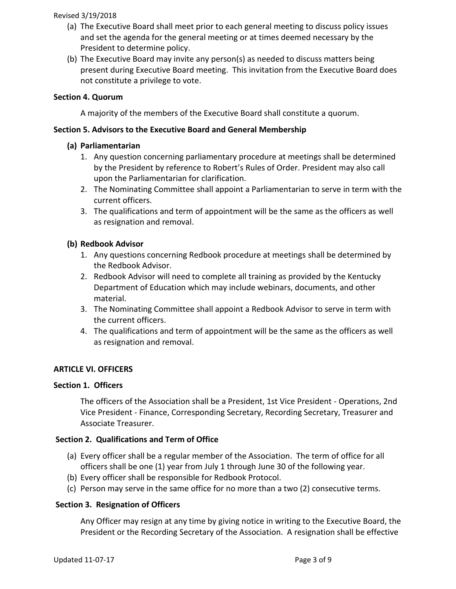- (a) The Executive Board shall meet prior to each general meeting to discuss policy issues and set the agenda for the general meeting or at times deemed necessary by the President to determine policy.
- (b) The Executive Board may invite any person(s) as needed to discuss matters being present during Executive Board meeting. This invitation from the Executive Board does not constitute a privilege to vote.

## **Section 4. Quorum**

A majority of the members of the Executive Board shall constitute a quorum.

### **Section 5. Advisors to the Executive Board and General Membership**

### **(a) Parliamentarian**

- 1. Any question concerning parliamentary procedure at meetings shall be determined by the President by reference to Robert's Rules of Order. President may also call upon the Parliamentarian for clarification.
- 2. The Nominating Committee shall appoint a Parliamentarian to serve in term with the current officers.
- 3. The qualifications and term of appointment will be the same as the officers as well as resignation and removal.

### **(b) Redbook Advisor**

- 1. Any questions concerning Redbook procedure at meetings shall be determined by the Redbook Advisor.
- 2. Redbook Advisor will need to complete all training as provided by the Kentucky Department of Education which may include webinars, documents, and other material.
- 3. The Nominating Committee shall appoint a Redbook Advisor to serve in term with the current officers.
- 4. The qualifications and term of appointment will be the same as the officers as well as resignation and removal.

### **ARTICLE VI. OFFICERS**

### **Section 1. Officers**

The officers of the Association shall be a President, 1st Vice President - Operations, 2nd Vice President - Finance, Corresponding Secretary, Recording Secretary, Treasurer and Associate Treasurer.

### **Section 2. Qualifications and Term of Office**

- (a) Every officer shall be a regular member of the Association. The term of office for all officers shall be one (1) year from July 1 through June 30 of the following year.
- (b) Every officer shall be responsible for Redbook Protocol.
- (c) Person may serve in the same office for no more than a two (2) consecutive terms.

### **Section 3. Resignation of Officers**

Any Officer may resign at any time by giving notice in writing to the Executive Board, the President or the Recording Secretary of the Association. A resignation shall be effective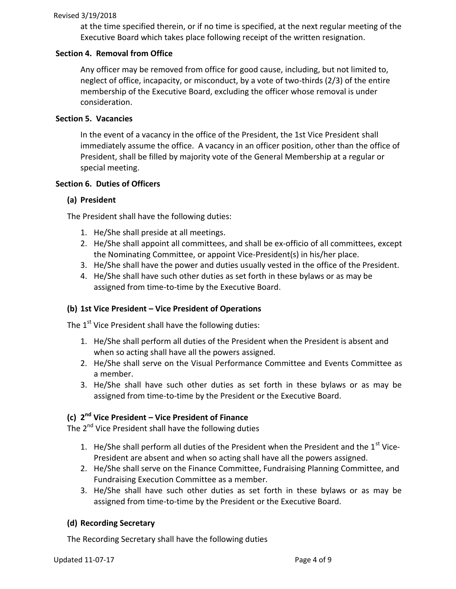at the time specified therein, or if no time is specified, at the next regular meeting of the Executive Board which takes place following receipt of the written resignation.

## **Section 4. Removal from Office**

Any officer may be removed from office for good cause, including, but not limited to, neglect of office, incapacity, or misconduct, by a vote of two-thirds (2/3) of the entire membership of the Executive Board, excluding the officer whose removal is under consideration.

## **Section 5. Vacancies**

In the event of a vacancy in the office of the President, the 1st Vice President shall immediately assume the office. A vacancy in an officer position, other than the office of President, shall be filled by majority vote of the General Membership at a regular or special meeting.

## **Section 6. Duties of Officers**

## **(a) President**

The President shall have the following duties:

- 1. He/She shall preside at all meetings.
- 2. He/She shall appoint all committees, and shall be ex-officio of all committees, except the Nominating Committee, or appoint Vice-President(s) in his/her place.
- 3. He/She shall have the power and duties usually vested in the office of the President.
- 4. He/She shall have such other duties as set forth in these bylaws or as may be assigned from time-to-time by the Executive Board.

## **(b) 1st Vice President – Vice President of Operations**

The  $1<sup>st</sup>$  Vice President shall have the following duties:

- 1. He/She shall perform all duties of the President when the President is absent and when so acting shall have all the powers assigned.
- 2. He/She shall serve on the Visual Performance Committee and Events Committee as a member.
- 3. He/She shall have such other duties as set forth in these bylaws or as may be assigned from time-to-time by the President or the Executive Board.

# **(c) 2 nd Vice President – Vice President of Finance**

The 2<sup>nd</sup> Vice President shall have the following duties

- 1. He/She shall perform all duties of the President when the President and the  $1^{st}$  Vice-President are absent and when so acting shall have all the powers assigned.
- 2. He/She shall serve on the Finance Committee, Fundraising Planning Committee, and Fundraising Execution Committee as a member.
- 3. He/She shall have such other duties as set forth in these bylaws or as may be assigned from time-to-time by the President or the Executive Board.

## **(d) Recording Secretary**

The Recording Secretary shall have the following duties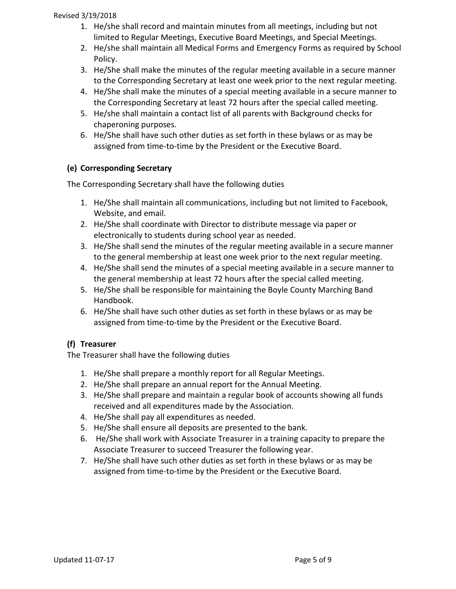- 1. He/she shall record and maintain minutes from all meetings, including but not limited to Regular Meetings, Executive Board Meetings, and Special Meetings.
- 2. He/she shall maintain all Medical Forms and Emergency Forms as required by School Policy.
- 3. He/She shall make the minutes of the regular meeting available in a secure manner to the Corresponding Secretary at least one week prior to the next regular meeting.
- 4. He/She shall make the minutes of a special meeting available in a secure manner to the Corresponding Secretary at least 72 hours after the special called meeting.
- 5. He/she shall maintain a contact list of all parents with Background checks for chaperoning purposes.
- 6. He/She shall have such other duties as set forth in these bylaws or as may be assigned from time-to-time by the President or the Executive Board.

# **(e) Corresponding Secretary**

The Corresponding Secretary shall have the following duties

- 1. He/She shall maintain all communications, including but not limited to Facebook, Website, and email.
- 2. He/She shall coordinate with Director to distribute message via paper or electronically to students during school year as needed.
- 3. He/She shall send the minutes of the regular meeting available in a secure manner to the general membership at least one week prior to the next regular meeting.
- 4. He/She shall send the minutes of a special meeting available in a secure manner to the general membership at least 72 hours after the special called meeting.
- 5. He/She shall be responsible for maintaining the Boyle County Marching Band Handbook.
- 6. He/She shall have such other duties as set forth in these bylaws or as may be assigned from time-to-time by the President or the Executive Board.

# **(f) Treasurer**

The Treasurer shall have the following duties

- 1. He/She shall prepare a monthly report for all Regular Meetings.
- 2. He/She shall prepare an annual report for the Annual Meeting.
- 3. He/She shall prepare and maintain a regular book of accounts showing all funds received and all expenditures made by the Association.
- 4. He/She shall pay all expenditures as needed.
- 5. He/She shall ensure all deposits are presented to the bank.
- 6. He/She shall work with Associate Treasurer in a training capacity to prepare the Associate Treasurer to succeed Treasurer the following year.
- 7. He/She shall have such other duties as set forth in these bylaws or as may be assigned from time-to-time by the President or the Executive Board.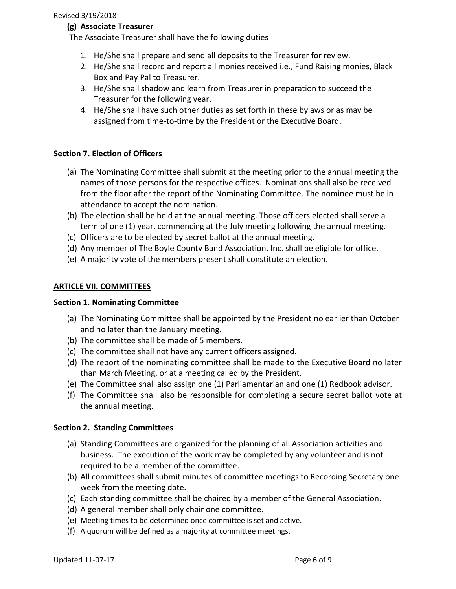## **(g) Associate Treasurer**

The Associate Treasurer shall have the following duties

- 1. He/She shall prepare and send all deposits to the Treasurer for review.
- 2. He/She shall record and report all monies received i.e., Fund Raising monies, Black Box and Pay Pal to Treasurer.
- 3. He/She shall shadow and learn from Treasurer in preparation to succeed the Treasurer for the following year.
- 4. He/She shall have such other duties as set forth in these bylaws or as may be assigned from time-to-time by the President or the Executive Board.

## **Section 7. Election of Officers**

- (a) The Nominating Committee shall submit at the meeting prior to the annual meeting the names of those persons for the respective offices. Nominations shall also be received from the floor after the report of the Nominating Committee. The nominee must be in attendance to accept the nomination.
- (b) The election shall be held at the annual meeting. Those officers elected shall serve a term of one (1) year, commencing at the July meeting following the annual meeting.
- (c) Officers are to be elected by secret ballot at the annual meeting.
- (d) Any member of The Boyle County Band Association, Inc. shall be eligible for office.
- (e) A majority vote of the members present shall constitute an election.

## **ARTICLE VII. COMMITTEES**

### **Section 1. Nominating Committee**

- (a) The Nominating Committee shall be appointed by the President no earlier than October and no later than the January meeting.
- (b) The committee shall be made of 5 members.
- (c) The committee shall not have any current officers assigned.
- (d) The report of the nominating committee shall be made to the Executive Board no later than March Meeting, or at a meeting called by the President.
- (e) The Committee shall also assign one (1) Parliamentarian and one (1) Redbook advisor.
- (f) The Committee shall also be responsible for completing a secure secret ballot vote at the annual meeting.

## **Section 2. Standing Committees**

- (a) Standing Committees are organized for the planning of all Association activities and business. The execution of the work may be completed by any volunteer and is not required to be a member of the committee.
- (b) All committees shall submit minutes of committee meetings to Recording Secretary one week from the meeting date.
- (c) Each standing committee shall be chaired by a member of the General Association.
- (d) A general member shall only chair one committee.
- (e) Meeting times to be determined once committee is set and active.
- (f) A quorum will be defined as a majority at committee meetings.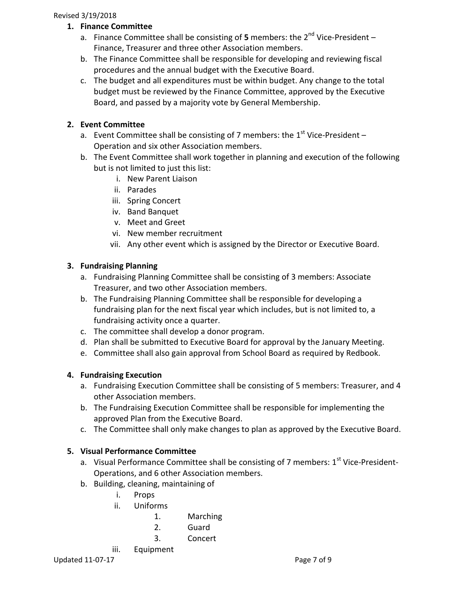- **1. Finance Committee**
	- a. Finance Committee shall be consisting of 5 members: the 2<sup>nd</sup> Vice-President Finance, Treasurer and three other Association members.
	- b. The Finance Committee shall be responsible for developing and reviewing fiscal procedures and the annual budget with the Executive Board.
	- c. The budget and all expenditures must be within budget. Any change to the total budget must be reviewed by the Finance Committee, approved by the Executive Board, and passed by a majority vote by General Membership.

## **2. Event Committee**

- a. Event Committee shall be consisting of 7 members: the  $1<sup>st</sup>$  Vice-President Operation and six other Association members.
- b. The Event Committee shall work together in planning and execution of the following but is not limited to just this list:
	- i. New Parent Liaison
	- ii. Parades
	- iii. Spring Concert
	- iv. Band Banquet
	- v. Meet and Greet
	- vi. New member recruitment
	- vii. Any other event which is assigned by the Director or Executive Board.

## **3. Fundraising Planning**

- a. Fundraising Planning Committee shall be consisting of 3 members: Associate Treasurer, and two other Association members.
- b. The Fundraising Planning Committee shall be responsible for developing a fundraising plan for the next fiscal year which includes, but is not limited to, a fundraising activity once a quarter.
- c. The committee shall develop a donor program.
- d. Plan shall be submitted to Executive Board for approval by the January Meeting.
- e. Committee shall also gain approval from School Board as required by Redbook.

# **4. Fundraising Execution**

- a. Fundraising Execution Committee shall be consisting of 5 members: Treasurer, and 4 other Association members.
- b. The Fundraising Execution Committee shall be responsible for implementing the approved Plan from the Executive Board.
- c. The Committee shall only make changes to plan as approved by the Executive Board.

# **5. Visual Performance Committee**

- a. Visual Performance Committee shall be consisting of 7 members: 1<sup>st</sup> Vice-President-Operations, and 6 other Association members.
- b. Building, cleaning, maintaining of
	- i. Props
	- ii. Uniforms
		- 1. Marching
		- 2. Guard
		- 3. Concert
	- iii. Equipment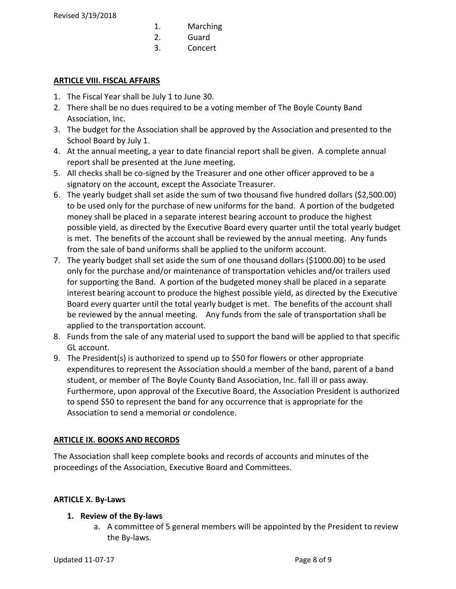- 1. Marching
- 2. Guard
- 3. Concert

## **ARTICLE VIII. FISCAL AFFAIRS**

- 1. The Fiscal Year shall be July 1 to June 30.
- 2. There shall be no dues required to be a voting member of The Boyle County Band Association, Inc.
- 3. The budget for the Association shall be approved by the Association and presented to the School Board by July 1.
- 4. At the annual meeting, a year to date financial report shall be given. A complete annual report shall be presented at the June meeting.
- 5. All checks shall be co-signed by the Treasurer and one other officer approved to be a signatory on the account, except the Associate Treasurer.
- 6. The yearly budget shall set aside the sum of two thousand five hundred dollars (\$2,500.00) to be used only for the purchase of new uniforms for the band. A portion of the budgeted money shall be placed in a separate interest bearing account to produce the highest possible yield, as directed by the Executive Board every quarter until the total yearly budget is met. The benefits of the account shall be reviewed by the annual meeting. Any funds from the sale of band uniforms shall be applied to the uniform account.
- 7. The yearly budget shall set aside the sum of one thousand dollars (\$1000.00) to be used only for the purchase and/or maintenance of transportation vehicles and/or trailers used for supporting the Band. A portion of the budgeted money shall be placed in a separate interest bearing account to produce the highest possible yield, as directed by the Executive Board every quarter until the total yearly budget is met. The benefits of the account shall be reviewed by the annual meeting. Any funds from the sale of transportation shall be applied to the transportation account.
- 8. Funds from the sale of any material used to support the band will be applied to that specific GL account.
- 9. The President(s) is authorized to spend up to \$50 for flowers or other appropriate expenditures to represent the Association should a member of the band, parent of a band student, or member of The Boyle County Band Association, Inc. fall ill or pass away. Furthermore, upon approval of the Executive Board, the Association President is authorized to spend \$50 to represent the band for any occurrence that is appropriate for the Association to send a memorial or condolence.

# **ARTICLE IX. BOOKS AND RECORDS**

The Association shall keep complete books and records of accounts and minutes of the proceedings of the Association, Executive Board and Committees.

# **ARTICLE X. By-Laws**

# **1. Review of the By-laws**

a. A committee of 5 general members will be appointed by the President to review the By-laws.